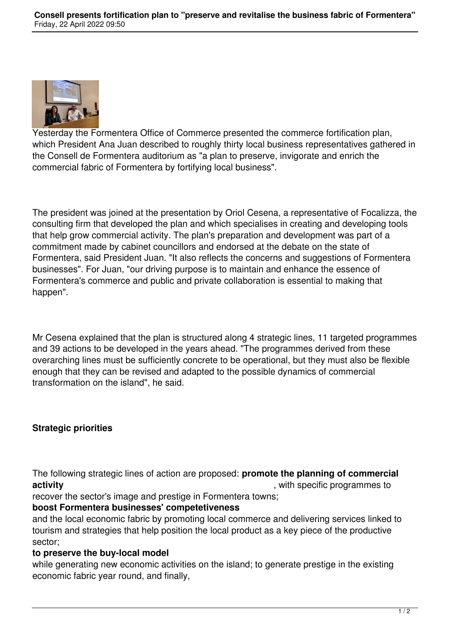

Yesterday the Formentera Office of Commerce presented the commerce fortification plan, which President Ana Juan described to roughly thirty local business representatives gathered in the Consell de Formentera auditorium as "a plan to preserve, invigorate and enrich the commercial fabric of Formentera by fortifying local business".

The president was joined at the presentation by Oriol Cesena, a representative of Focalizza, the consulting firm that developed the plan and which specialises in creating and developing tools that help grow commercial activity. The plan's preparation and development was part of a commitment made by cabinet councillors and endorsed at the debate on the state of Formentera, said President Juan. "It also reflects the concerns and suggestions of Formentera businesses". For Juan, "our driving purpose is to maintain and enhance the essence of Formentera's commerce and public and private collaboration is essential to making that happen".

Mr Cesena explained that the plan is structured along 4 strategic lines, 11 targeted programmes and 39 actions to be developed in the years ahead. "The programmes derived from these overarching lines must be sufficiently concrete to be operational, but they must also be flexible enough that they can be revised and adapted to the possible dynamics of commercial transformation on the island", he said.

## **Strategic priorities**

The following strategic lines of action are proposed: **promote the planning of commercial activity activity activity** *activity activity activity activity activity activity activity activity activity activity activity activity activity activity activ* 

recover the sector's image and prestige in Formentera towns;

## **boost Formentera businesses' competetiveness**

and the local economic fabric by promoting local commerce and delivering services linked to tourism and strategies that help position the local product as a key piece of the productive sector;

## **to preserve the buy-local model**

while generating new economic activities on the island; to generate prestige in the existing economic fabric year round, and finally,